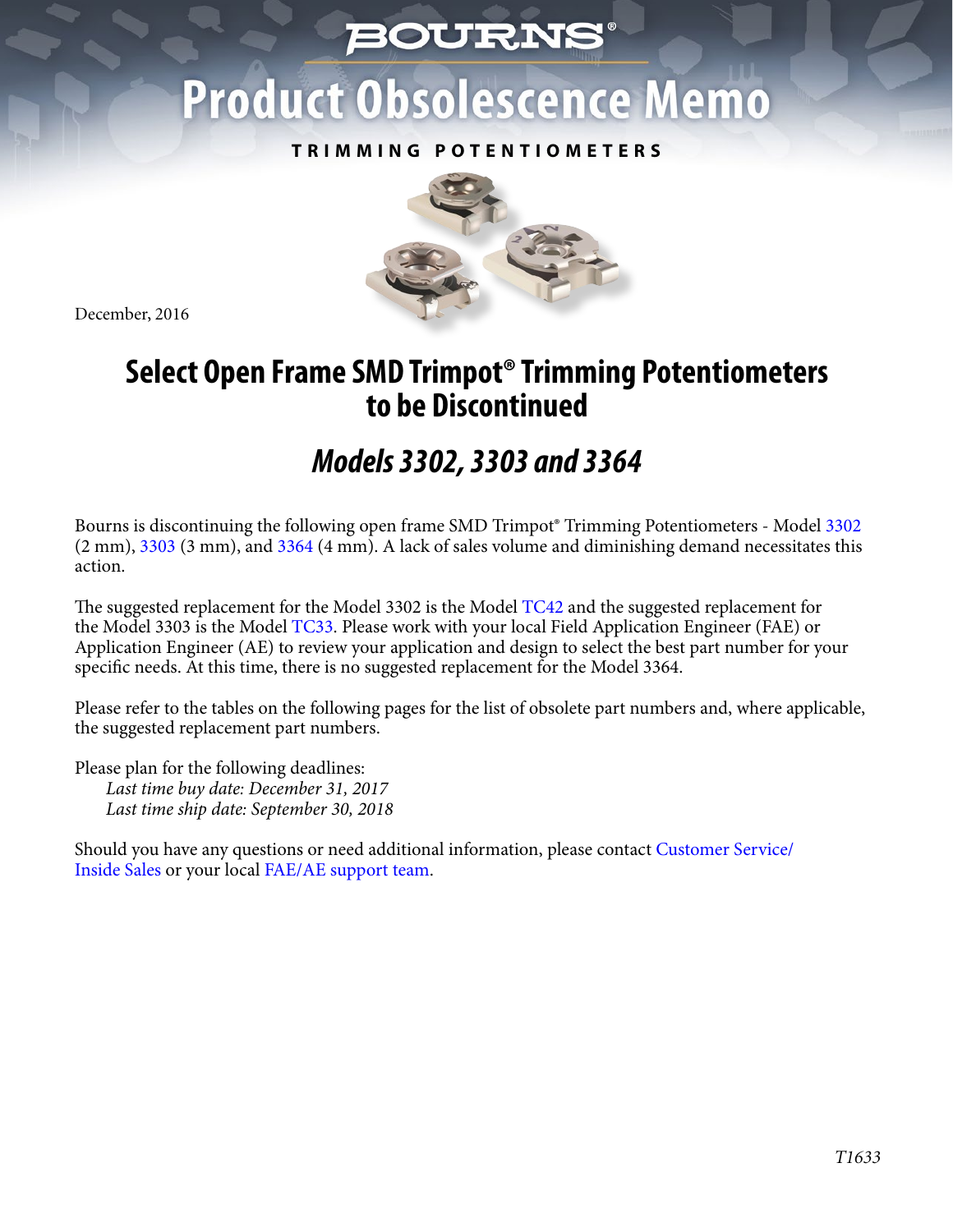## *BOURNS*

# **Product Obsolescence Memo**

#### **TRIMMING POTENTIOMETERS**



December, 2016

## **Select Open Frame SMD Trimpot® Trimming Potentiometers to be Discontinued**

## *Models 3302, 3303 and 3364*

Bourns is discontinuing the following open frame SMD Trimpot® Trimming Potentiometers - Mode[l 3302](http://www.bourns.com/docs/Product-Datasheets/3302.pdf) (2 mm[\), 3303 \(3](http://www.bourns.com/docs/Product-Datasheets/3303.pdf) mm), an[d 3364 \(4](http://www.bourns.com/docs/Product-Datasheets/3364.pdf) mm). A lack of sales volume and diminishing demand necessitates this action.

The suggested replacement for the Model 3302 is the Mode[l TC42 an](http://www.bourns.com/docs/Product-Datasheets/TC42.pdf)d the suggested replacement for the Model 3303 is the Mode[l TC33.](http://www.bourns.com/docs/Product-Datasheets/TC33.pdf) Please work with your local Field Application Engineer (FAE) or Application Engineer (AE) to review your application and design to select the best part number for your specific needs. At this time, there is no suggested replacement for the Model 3364.

Please refer to the tables on the following pages for the list of obsolete part numbers and, where applicable, the suggested replacement part numbers.

Please plan for the following deadlines: *Last time buy date: December 31, 2017 Last time ship date: September 30, 2018*

[Should you have any questions or need additional information, please contact Customer Service/](http://www.bourns.com/support/contact)  Inside Sales or your local FAE/AE support team.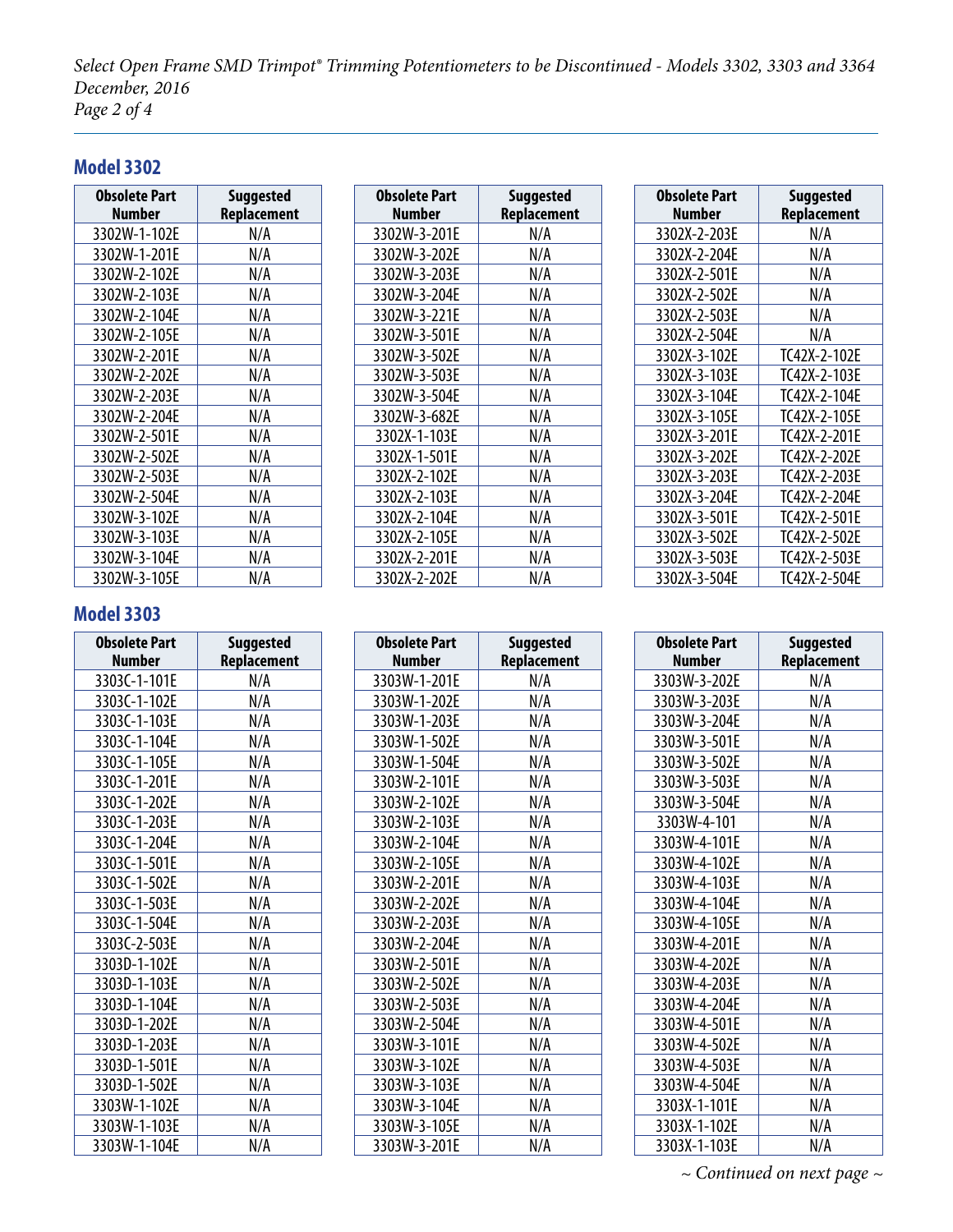*Select Open Frame SMD Trimpot® Trimming Potentiometers to be Discontinued - Models 3302, 3303 and 3364 December, 2016 Page 2 of 4*

#### **Model 3302**

| <b>Obsolete Part</b><br><b>Number</b> | <b>Suggested</b><br>Replacement |
|---------------------------------------|---------------------------------|
| 3302W-1-102E                          | N/A                             |
| 3302W-1-201E                          | N/A                             |
| 3302W-2-102E                          | N/A                             |
| 3302W-2-103E                          | N/A                             |
| 3302W-2-104E                          | N/A                             |
| 3302W-2-105E                          | N/A                             |
| 3302W-2-201E                          | N/A                             |
| 3302W-2-202E                          | N/A                             |
| 3302W-2-203E                          | N/A                             |
| 3302W-2-204E                          | N/A                             |
| 3302W-2-501E                          | N/A                             |
| 3302W-2-502E                          | N/A                             |
| 3302W-2-503E                          | N/A                             |
| 3302W-2-504E                          | N/A                             |
| 3302W-3-102E                          | N/A                             |
| 3302W-3-103E                          | N/A                             |
| 3302W-3-104E                          | N/A                             |
| 3302W-3-105E                          | N/A                             |

| <b>Obsolete Part</b> | <b>Suggested</b> |
|----------------------|------------------|
| Number               | Replacement      |
| 3302W-3-201E         | N/A              |
| 3302W-3-202E         | N/A              |
| 3302W-3-203E         | N/A              |
| 3302W-3-204E         | N/A              |
| 3302W-3-221E         | N/A              |
| 3302W-3-501E         | N/A              |
| 3302W-3-502E         | N/A              |
| 3302W-3-503E         | N/A              |
| 3302W-3-504E         | N/A              |
| 3302W-3-682E         | N/A              |
| 3302X-1-103E         | N/A              |
| 3302X-1-501E         | N/A              |
| 3302X-2-102E         | N/A              |
| 3302X-2-103E         | N/A              |
| 3302X-2-104E         | N/A              |
| 3302X-2-105E         | N/A              |
| 3302X-2-201E         | N/A              |
| 3302X-2-202E         | N/A              |

| <b>Obsolete Part</b><br><b>Number</b> | <b>Suggested</b><br>Replacement |
|---------------------------------------|---------------------------------|
| 3302X-2-203E                          | N/A                             |
| 3302X-2-204E                          | N/A                             |
| 3302X-2-501E                          | N/A                             |
| 3302X-2-502E                          | N/A                             |
| 3302X-2-503E                          | N/A                             |
| 3302X-2-504E                          | N/A                             |
| 3302X-3-102E                          | TC42X-2-102E                    |
| 3302X-3-103E                          | TC42X-2-103E                    |
| 3302X-3-104E                          | TC42X-2-104E                    |
| 3302X-3-105E                          | TC42X-2-105E                    |
| 3302X-3-201E                          | TC42X-2-201E                    |
| 3302X-3-202E                          | TC42X-2-202E                    |
| 3302X-3-203E                          | TC42X-2-203E                    |
| 3302X-3-204E                          | TC42X-2-204E                    |
| 3302X-3-501E                          | TC42X-2-501E                    |
| 3302X-3-502E                          | TC42X-2-502E                    |
| 3302X-3-503E                          | TC42X-2-503E                    |
| 3302X-3-504E                          | TC42X-2-504E                    |

#### **Model 3303**

| <b>Obsolete Part</b><br><b>Number</b> | <b>Suggested</b><br>Replacement |
|---------------------------------------|---------------------------------|
| 3303C-1-101E                          | N/A                             |
| 3303C-1-102E                          | N/A                             |
| 3303C-1-103E                          |                                 |
|                                       | N/A                             |
| 3303C-1-104E                          | N/A                             |
| 3303C-1-105E                          | N/A                             |
| 3303C-1-201E                          | N/A                             |
| 3303C-1-202E                          | N/A                             |
| 3303C-1-203E                          | N/A                             |
| 3303C-1-204E                          | N/A                             |
| 3303C-1-501E                          | N/A                             |
| 3303C-1-502E                          | N/A                             |
| 3303C-1-503E                          | N/A                             |
| 3303C-1-504E                          | N/A                             |
| 3303C-2-503E                          | N/A                             |
| 3303D-1-102E                          | N/A                             |
| 3303D-1-103E                          | N/A                             |
| 3303D-1-104E                          | N/A                             |
| 3303D-1-202E                          | N/A                             |
| 3303D-1-203E                          | N/A                             |
| 3303D-1-501E                          | N/A                             |
| 3303D-1-502E                          | N/A                             |
| 3303W-1-102E                          | N/A                             |
| 3303W-1-103E                          | N/A                             |
| 3303W-1-104E                          | N/A                             |

| <b>Obsolete Part</b> | <b>Suggested</b> |
|----------------------|------------------|
| Number               | Replacement      |
| 3303W-1-201E         | N/A              |
| 3303W-1-202E         | N/A              |
| 3303W-1-203E         | N/A              |
| 3303W-1-502E         | N/A              |
| 3303W-1-504E         | N/A              |
| 3303W-2-101E         | N/A              |
| 3303W-2-102E         | N/A              |
| 3303W-2-103E         | N/A              |
| 3303W-2-104E         | N/A              |
| 3303W-2-105E         | N/A              |
| 3303W-2-201E         | N/A              |
| 3303W-2-202E         | N/A              |
| 3303W-2-203E         | N/A              |
| 3303W-2-204E         | N/A              |
| 3303W-2-501E         | N/A              |
| 3303W-2-502E         | N/A              |
| 3303W-2-503E         | N/A              |
| 3303W-2-504E         | N/A              |
| 3303W-3-101E         | N/A              |
| 3303W-3-102E         | N/A              |
| 3303W-3-103E         | N/A              |
| 3303W-3-104E         | N/A              |
| 3303W-3-105E         | N/A              |
| 3303W-3-201E         | N/A              |

| <b>Obsolete Part</b> | <b>Suggested</b> |
|----------------------|------------------|
| <b>Number</b>        | Replacement      |
| 3303W-3-202E         | N/A              |
| 3303W-3-203E         | N/A              |
| 3303W-3-204E         | N/A              |
| 3303W-3-501E         | N/A              |
| 3303W-3-502E         | N/A              |
| 3303W-3-503E         | N/A              |
| 3303W-3-504E         | N/A              |
| 3303W-4-101          | N/A              |
| 3303W-4-101E         | N/A              |
| 3303W-4-102E         | N/A              |
| 3303W-4-103E         | N/A              |
| 3303W-4-104E         | N/A              |
| 3303W-4-105E         | N/A              |
| 3303W-4-201E         | N/A              |
| 3303W-4-202E         | N/A              |
| 3303W-4-203E         | N/A              |
| 3303W-4-204E         | N/A              |
| 3303W-4-501E         | N/A              |
| 3303W-4-502E         | N/A              |
| 3303W-4-503E         | N/A              |
| 3303W-4-504E         | N/A              |
| 3303X-1-101E         | N/A              |
| 3303X-1-102E         | N/A              |
| 3303X-1-103E         | N/A              |

*~ Continued on next page ~*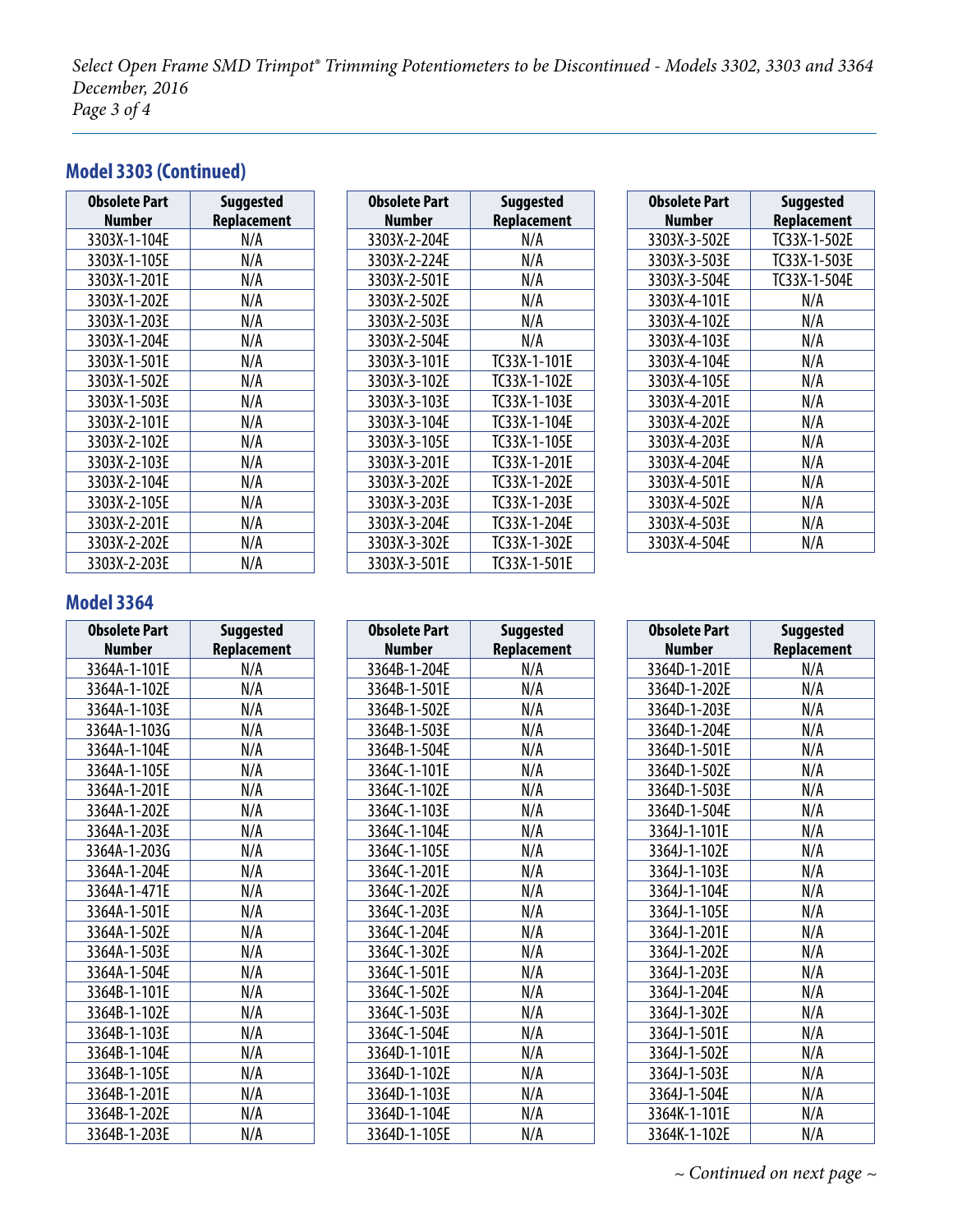*Select Open Frame SMD Trimpot® Trimming Potentiometers to be Discontinued - Models 3302, 3303 and 3364 December, 2016 Page 3 of 4*

#### **Model 3303 (Continued)**

| <b>Obsolete Part</b><br>Number | <b>Suggested</b><br>Replacement |
|--------------------------------|---------------------------------|
| 3303X-1-104E                   | N/A                             |
| 3303X-1-105E                   | N/A                             |
| 3303X-1-201E                   | N/A                             |
| 3303X-1-202E                   | N/A                             |
| 3303X-1-203E                   | N/A                             |
| 3303X-1-204E                   | N/A                             |
| 3303X-1-501E                   | N/A                             |
| 3303X-1-502E                   | N/A                             |
| 3303X-1-503E                   | N/A                             |
| 3303X-2-101E                   | N/A                             |
| 3303X-2-102E                   | N/A                             |
| 3303X-2-103E                   | N/A                             |
| 3303X-2-104E                   | N/A                             |
| 3303X-2-105E                   | N/A                             |
| 3303X-2-201E                   | N/A                             |
| 3303X-2-202E                   | N/A                             |
| 3303X-2-203E                   | N/A                             |

| <b>Obsolete Part</b> | <b>Suggested</b> |
|----------------------|------------------|
| <b>Number</b>        | Replacement      |
| 3303X-2-204E         | N/A              |
| 3303X-2-224E         | N/A              |
| 3303X-2-501E         | N/A              |
| 3303X-2-502E         | N/A              |
| 3303X-2-503E         | N/A              |
| 3303X-2-504E         | N/A              |
| 3303X-3-101E         | TC33X-1-101E     |
| 3303X-3-102E         | TC33X-1-102E     |
| 3303X-3-103E         | TC33X-1-103E     |
| 3303X-3-104E         | TC33X-1-104E     |
| 3303X-3-105E         | TC33X-1-105E     |
| 3303X-3-201E         | TC33X-1-201E     |
| 3303X-3-202E         | TC33X-1-202E     |
| 3303X-3-203E         | TC33X-1-203E     |
| 3303X-3-204E         | TC33X-1-204E     |
| 3303X-3-302E         | TC33X-1-302E     |
| 3303X-3-501E         | TC33X-1-501E     |

r

| <b>Obsolete Part</b><br>Number | <b>Suggested</b><br>Replacement |
|--------------------------------|---------------------------------|
| 3303X-3-502E                   | TC33X-1-502E                    |
| 3303X-3-503E                   | TC33X-1-503E                    |
| 3303X-3-504E                   | TC33X-1-504E                    |
| 3303X-4-101E                   | N/A                             |
| 3303X-4-102E                   | N/A                             |
| 3303X-4-103E                   | N/A                             |
| 3303X-4-104E                   | N/A                             |
| 3303X-4-105E                   | N/A                             |
| 3303X-4-201E                   | N/A                             |
| 3303X-4-202E                   | N/A                             |
| 3303X-4-203E                   | N/A                             |
| 3303X-4-204E                   | N/A                             |
| 3303X-4-501E                   | N/A                             |
| 3303X-4-502E                   | N/A                             |
| 3303X-4-503E                   | N/A                             |
| 3303X-4-504E                   | N/A                             |

#### **Model 3364**

| <b>Obsolete Part</b> | <b>Suggested</b>   |
|----------------------|--------------------|
| Number               | <b>Replacement</b> |
| 3364A-1-101E         | N/A                |
| 3364A-1-102E         | N/A                |
| 3364A-1-103E         | N/A                |
| 3364A-1-103G         | N/A                |
| 3364A-1-104E         | N/A                |
| 3364A-1-105E         | N/A                |
| 3364A-1-201E         | N/A                |
| 3364A-1-202E         | N/A                |
| 3364A-1-203E         | N/A                |
| 3364A-1-203G         | N/A                |
| 3364A-1-204E         | N/A                |
| 3364A-1-471E         | N/A                |
| 3364A-1-501E         | N/A                |
| 3364A-1-502E         | N/A                |
| 3364A-1-503E         | N/A                |
| 3364A-1-504E         | N/A                |
| 3364B-1-101E         | N/A                |
| 3364B-1-102E         | N/A                |
| 3364B-1-103E         | N/A                |
| 3364B-1-104E         | N/A                |
| 3364B-1-105E         | N/A                |
| 3364B-1-201E         | N/A                |
| 3364B-1-202E         | N/A                |
| 3364B-1-203E         | N/A                |

| <b>Obsolete Part</b> | <b>Suggested</b> |
|----------------------|------------------|
| <b>Number</b>        | Replacement      |
| 3364B-1-204E         | N/A              |
| 3364B-1-501E         | N/A              |
| 3364B-1-502E         | N/A              |
| 3364B-1-503E         | N/A              |
| 3364B-1-504E         | N/A              |
| 3364C-1-101E         | N/A              |
| 3364C-1-102E         | N/A              |
| 3364C-1-103E         | N/A              |
| 3364C-1-104E         | N/A              |
| 3364C-1-105E         | N/A              |
| 3364C-1-201E         | N/A              |
| 3364C-1-202E         | N/A              |
| 3364C-1-203E         | N/A              |
| 3364C-1-204E         | N/A              |
| 3364C-1-302E         | N/A              |
| 3364C-1-501E         | N/A              |
| 3364C-1-502E         | N/A              |
| 3364C-1-503E         | N/A              |
| 3364C-1-504E         | N/A              |
| 3364D-1-101E         | N/A              |
| 3364D-1-102E         | N/A              |
| 3364D-1-103E         | N/A              |
| 3364D-1-104E         | N/A              |
| 3364D-1-105E         | N/A              |

| <b>Obsolete Part</b> | <b>Suggested</b> |
|----------------------|------------------|
| Number               | Replacement      |
| 3364D-1-201E         | N/A              |
| 3364D-1-202E         | N/A              |
| 3364D-1-203E         | N/A              |
| 3364D-1-204E         | N/A              |
| 3364D-1-501E         | N/A              |
| 3364D-1-502E         | N/A              |
| 3364D-1-503E         | N/A              |
| 3364D-1-504E         | N/A              |
| 3364J-1-101E         | N/A              |
| 3364J-1-102E         | N/A              |
| 3364J-1-103E         | N/A              |
| 3364J-1-104E         | N/A              |
| 3364J-1-105E         | N/A              |
| 3364J-1-201E         | N/A              |
| 3364J-1-202E         | N/A              |
| 3364J-1-203E         | N/A              |
| 3364J-1-204E         | N/A              |
| 3364J-1-302E         | N/A              |
| 3364J-1-501E         | N/A              |
| 3364J-1-502E         | N/A              |
| 3364J-1-503E         | N/A              |
| 3364J-1-504E         | N/A              |
| 3364K-1-101E         | N/A              |
| 3364K-1-102E         | N/A              |

*~ Continued on next page ~*